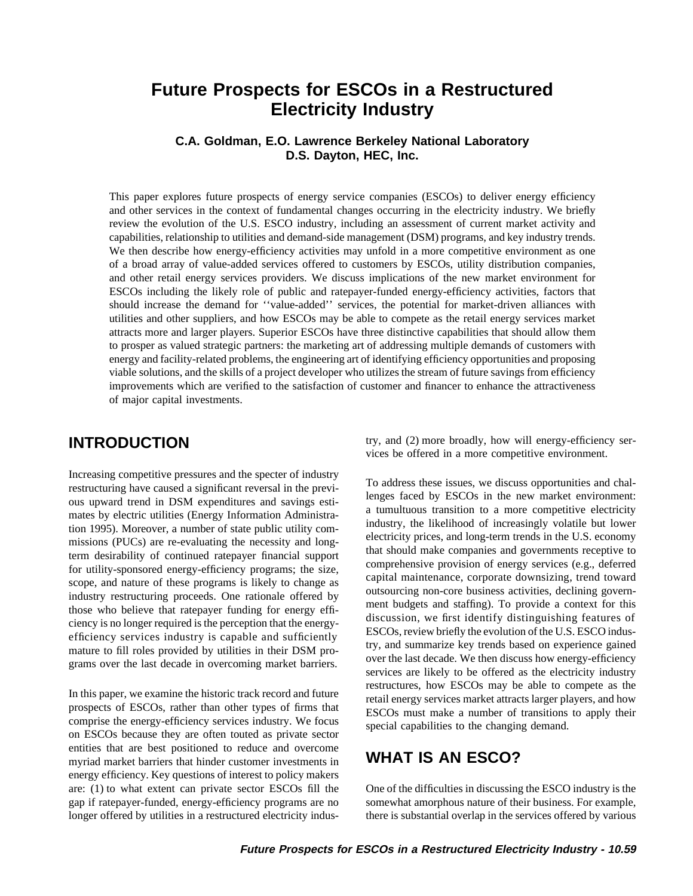# **Future Prospects for ESCOs in a Restructured Electricity Industry**

### **C.A. Goldman, E.O. Lawrence Berkeley National Laboratory D.S. Dayton, HEC, Inc.**

This paper explores future prospects of energy service companies (ESCOs) to deliver energy efficiency and other services in the context of fundamental changes occurring in the electricity industry. We briefly review the evolution of the U.S. ESCO industry, including an assessment of current market activity and capabilities, relationship to utilities and demand-side management (DSM) programs, and key industry trends. We then describe how energy-efficiency activities may unfold in a more competitive environment as one of a broad array of value-added services offered to customers by ESCOs, utility distribution companies, and other retail energy services providers. We discuss implications of the new market environment for ESCOs including the likely role of public and ratepayer-funded energy-efficiency activities, factors that should increase the demand for ''value-added'' services, the potential for market-driven alliances with utilities and other suppliers, and how ESCOs may be able to compete as the retail energy services market attracts more and larger players. Superior ESCOs have three distinctive capabilities that should allow them to prosper as valued strategic partners: the marketing art of addressing multiple demands of customers with energy and facility-related problems, the engineering art of identifying efficiency opportunities and proposing viable solutions, and the skills of a project developer who utilizes the stream of future savings from efficiency improvements which are verified to the satisfaction of customer and financer to enhance the attractiveness of major capital investments.

In this paper, we examine the historic track record and future<br>prospects of ESCOs, rather than other types of firms that<br>comprise the energy-efficiency services industry. We focus<br>on ESCOs because they are often touted as entities that are best positioned to reduce and overcome myriad market barriers that hinder customer investments in **WHAT IS AN ESCO?** energy efficiency. Key questions of interest to policy makers are: (1) to what extent can private sector ESCOs fill the One of the difficulties in discussing the ESCO industry is the gap if ratepayer-funded, energy-efficiency programs are no somewhat amorphous nature of their business. For example, longer offered by utilities in a restructured electricity indus- there is substantial overlap in the services offered by various

try, and (2) more broadly, how will energy-efficiency ser- **INTRODUCTION** vices be offered in a more competitive environment.

Increasing competitive pressures and the specter of industry<br>
not address these issues, we discuss opportunities and chal-<br>
resumention house upward trend in DSM expenditures and savings esti-<br>
ous upward trend in DSM expe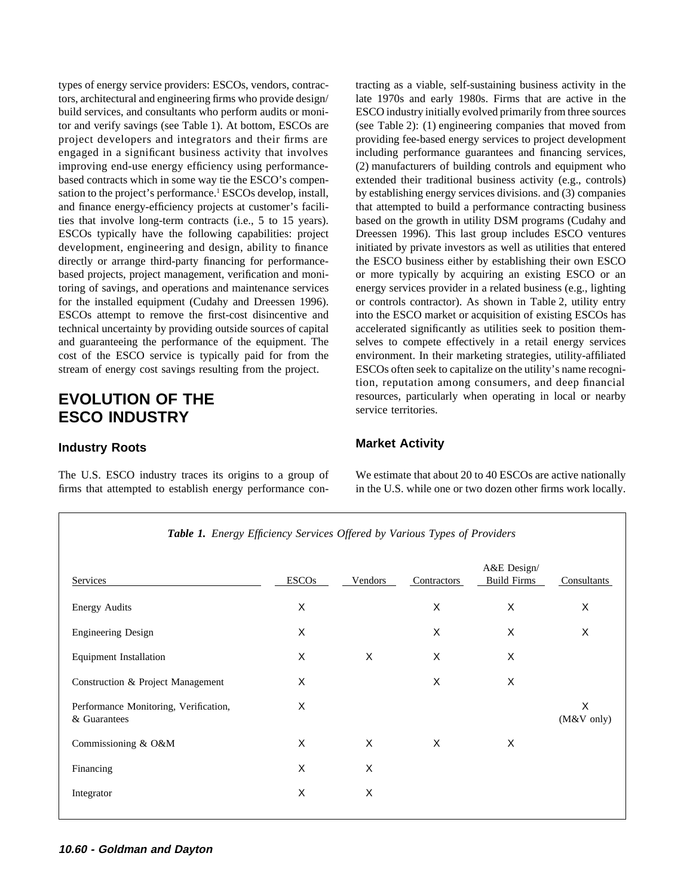tors, architectural and engineering firms who provide design/ late 1970s and early 1980s. Firms that are active in the engaged in a significant business activity that involves including performance guarantees and financing services, improving end-use energy efficiency using performance- (2) manufacturers of building controls and equipment who development, engineering and design, ability to finance initiated by private investors as well as utilities that entered directly or arrange third-party financing for performance-<br>the ESCO business either by establishing their own ESCO based projects, project management, verification and moni- or more typically by acquiring an existing ESCO or an toring of savings, and operations and maintenance services energy services provider in a related business (e.g., lighting for the installed equipment (Cudahy and Dreessen 1996). or controls contractor). As shown in Table 2, utility entry technical uncertainty by providing outside sources of capital accelerated significantly as utilities seek to position themand guaranteeing the performance of the equipment. The selves to compete effectively in a retail energy services stream of energy cost savings resulting from the project. ESCOs often seek to capitalize on the utility's name recogni-

# **ESCO INDUSTRY**

firms that attempted to establish energy performance con- in the U.S. while one or two dozen other firms work locally.

types of energy service providers: ESCOs, vendors, contrac- tracting as a viable, self-sustaining business activity in the build services, and consultants who perform audits or moni- ESCO industry initially evolved primarily from three sources tor and verify savings (see Table 1). At bottom, ESCOs are (see Table 2): (1) engineering companies that moved from project developers and integrators and their firms are providing fee-based energy services to project development based contracts which in some way tie the ESCO's compen- extended their traditional business activity (e.g., controls) sation to the project's performance.<sup>1</sup> ESCOs develop, install, by establishing energy services divisions. and (3) companies and finance energy-efficiency projects at customer's facili- that attempted to build a performance contracting business ties that involve long-term contracts (i.e., 5 to 15 years). based on the growth in utility DSM programs (Cudahy and ESCOs typically have the following capabilities: project Dreessen 1996). This last group includes ESCO ventures ESCOs attempt to remove the first-cost disincentive and into the ESCO market or acquisition of existing ESCOs has cost of the ESCO service is typically paid for from the environment. In their marketing strategies, utility-affiliated tion, reputation among consumers, and deep financial **EVOLUTION OF THE** resources, particularly when operating in local or nearby<br> **EVOLUTION OF THE** resources erritories.

## **Market Activity Industry Roots**

The U.S. ESCO industry traces its origins to a group of We estimate that about 20 to 40 ESCOs are active nationally

| Table 1. Energy Efficiency Services Offered by Various Types of Providers |              |         |             |                                   |                   |
|---------------------------------------------------------------------------|--------------|---------|-------------|-----------------------------------|-------------------|
| Services                                                                  | <b>ESCOs</b> | Vendors | Contractors | A&E Design/<br><b>Build Firms</b> | Consultants       |
| <b>Energy Audits</b>                                                      | X            |         | X           | X                                 | X                 |
| <b>Engineering Design</b>                                                 | X            |         | Χ           | Χ                                 | Χ                 |
| <b>Equipment Installation</b>                                             | X            | X       | X           | X                                 |                   |
| Construction & Project Management                                         | X            |         | X           | X                                 |                   |
| Performance Monitoring, Verification,<br>& Guarantees                     | X            |         |             |                                   | X<br>$(M&V$ only) |
| Commissioning & O&M                                                       | X            | X       | X           | X                                 |                   |
| Financing                                                                 | X            | X       |             |                                   |                   |
| Integrator                                                                | X            | X       |             |                                   |                   |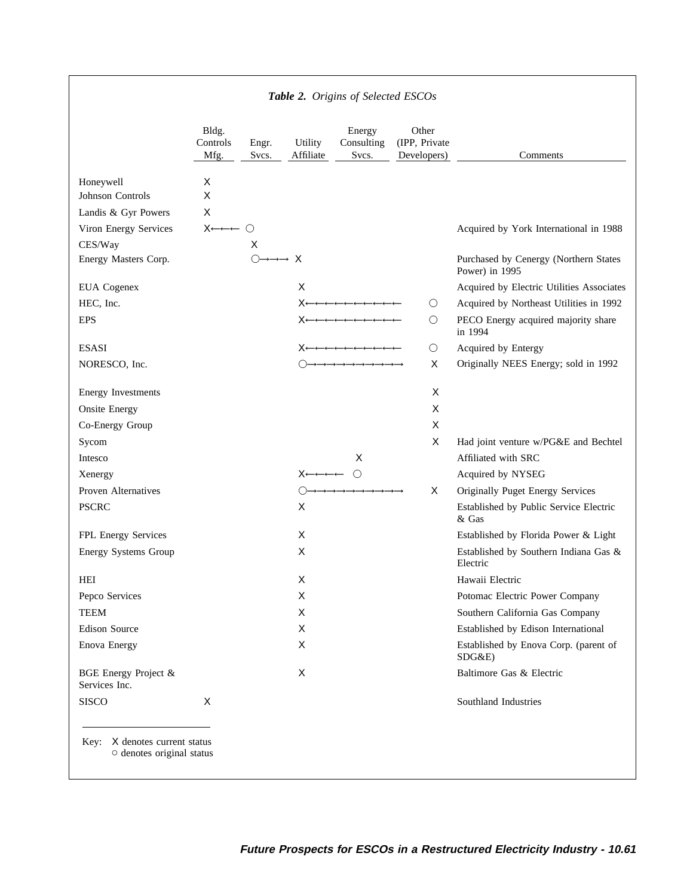|                                                                  |                           |                |                                         | Table 2. Origins of Selected ESCOs |                                       |                                                             |
|------------------------------------------------------------------|---------------------------|----------------|-----------------------------------------|------------------------------------|---------------------------------------|-------------------------------------------------------------|
|                                                                  | Bldg.<br>Controls<br>Mfg. | Engr.<br>Svcs. | Utility<br>Affiliate                    | Energy<br>Consulting<br>Svcs.      | Other<br>(IPP, Private<br>Developers) | Comments                                                    |
| Honeywell                                                        | Χ                         |                |                                         |                                    |                                       |                                                             |
| Johnson Controls                                                 | X                         |                |                                         |                                    |                                       |                                                             |
| Landis & Gyr Powers                                              | X                         |                |                                         |                                    |                                       |                                                             |
| Viron Energy Services                                            | X←←← ∩                    |                |                                         |                                    |                                       | Acquired by York International in 1988                      |
| CES/Way                                                          |                           | Χ              |                                         |                                    |                                       |                                                             |
| Energy Masters Corp.                                             |                           |                | $\rightarrow \rightarrow \rightarrow$ X |                                    |                                       | Purchased by Cenergy (Northern States<br>Power) in 1995     |
| <b>EUA</b> Cogenex                                               |                           |                | X                                       |                                    |                                       | Acquired by Electric Utilities Associates                   |
| HEC, Inc.                                                        |                           |                | X٠                                      |                                    | $\bigcirc$                            | Acquired by Northeast Utilities in 1992                     |
| <b>EPS</b>                                                       |                           |                | X←∗                                     |                                    | $\bigcirc$                            | PECO Energy acquired majority share<br>in 1994              |
| <b>ESASI</b>                                                     |                           |                |                                         |                                    | $\bigcirc$                            | Acquired by Entergy                                         |
| NORESCO, Inc.                                                    |                           |                |                                         |                                    | X                                     | Originally NEES Energy; sold in 1992                        |
|                                                                  |                           |                |                                         |                                    | X                                     |                                                             |
| <b>Energy Investments</b><br><b>Onsite Energy</b>                |                           |                |                                         |                                    | X                                     |                                                             |
|                                                                  |                           |                |                                         |                                    | X                                     |                                                             |
| Co-Energy Group                                                  |                           |                |                                         |                                    | Χ                                     |                                                             |
| Sycom<br>Intesco                                                 |                           |                |                                         | X                                  |                                       | Had joint venture w/PG&E and Bechtel<br>Affiliated with SRC |
|                                                                  |                           |                | X←←←←                                   | $\bigcirc$                         |                                       | Acquired by NYSEG                                           |
| Xenergy<br>Proven Alternatives                                   |                           |                |                                         |                                    | Χ                                     | Originally Puget Energy Services                            |
| <b>PSCRC</b>                                                     |                           |                | X                                       |                                    |                                       | Established by Public Service Electric                      |
|                                                                  |                           |                |                                         |                                    |                                       | & Gas                                                       |
| FPL Energy Services                                              |                           |                | X                                       |                                    |                                       | Established by Florida Power & Light                        |
| Energy Systems Group                                             |                           |                | X                                       |                                    |                                       | Established by Southern Indiana Gas &<br>Electric           |
| HEI                                                              |                           |                | Χ                                       |                                    |                                       | Hawaii Electric                                             |
| Pepco Services                                                   |                           |                | Χ                                       |                                    |                                       | Potomac Electric Power Company                              |
| TEEM                                                             |                           |                | X                                       |                                    |                                       | Southern California Gas Company                             |
| <b>Edison Source</b>                                             |                           |                | Χ                                       |                                    |                                       | Established by Edison International                         |
| Enova Energy                                                     |                           |                | X                                       |                                    |                                       | Established by Enova Corp. (parent of<br>SDG&E)             |
| BGE Energy Project &<br>Services Inc.                            |                           |                | Χ                                       |                                    |                                       | Baltimore Gas & Electric                                    |
| <b>SISCO</b>                                                     | X                         |                |                                         |                                    |                                       | Southland Industries                                        |
| Key: X denotes current status<br>$\circ$ denotes original status |                           |                |                                         |                                    |                                       |                                                             |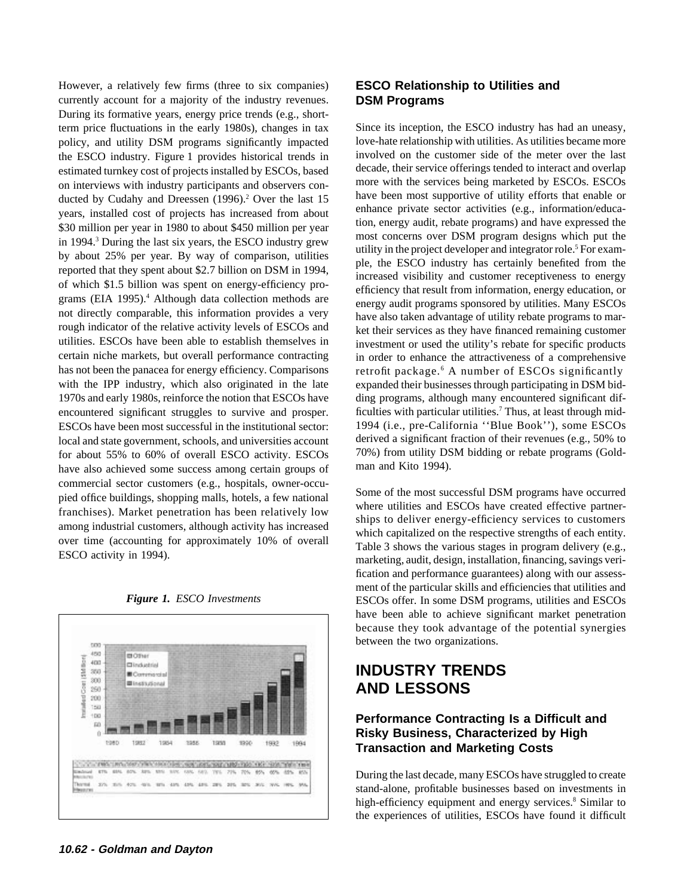However, a relatively few firms (three to six companies) **ESCO Relationship to Utilities and** currently account for a majority of the industry revenues. **DSM Programs** During its formative years, energy price trends (e.g., shortterm price fluctuations in the early 1980s), changes in tax Since its inception, the ESCO industry has had an uneasy, policy, and utility DSM programs significantly impacted love-hate relationship with utilities. As utilities became more the ESCO industry. Figure 1 provides historical trends in involved on the customer side of the meter over the last estimated turnkey cost of projects installed by ESCOs, based decade, their service offerings tended to inte estimated turnkey cost of projects installed by ESCOs, based decade, their service offerings tended to interact and overlap<br>on interviews with industry participants and observers con-<br>more with the services being marketed on interviews with industry participants and observers con-<br>ducted by ESCOs. ESCOs on interview of utility efforts that enable or<br>ducted by Cudaby and Dreessen (1996)<sup>2</sup> Over the last 15 ducted by Cudahy and Dreessen (1996).<sup>2</sup> Over the last 15 have been most supportive of utility efforts that enable or enhance private sector activities (e.g., information/educayears, installed cost of projects has increased from about<br>
\$30 million per year in 1980 to about \$450 million per year<br>
in 1994.<sup>3</sup> During the last six years, the ESCO industry grew<br>
by about 25% per year. By way of compa rough indicator of the relative activity levels of ESCOs and<br>their services as they have financed remaining customer<br>utilities. ESCOs have been able to establish themselves in<br>investment or used the utility's rebate for sp utilities. ESCOs have been able to establish themselves in investment or used the utility's rebate for specific products certain niche markets, but overall performance contracting in order to enhance the attractiveness of has not been the panacea for energy efficiency. Comparisons retrofit package.<sup>6</sup> A number of ESCOs significantly with the IPP industry, which also originated in the late expanded their businesses through participating in DSM bid-1970s and early 1980s, reinforce the notion that ESCOs have ding programs, although many encountered significant difencountered significant struggles to survive and prosper.  $\frac{1}{10}$  ficulties with particular utilities.<sup>7</sup> Thus, at least through mid-ESCOs have been most successful in the institutional sector: 1994 (i.e., pre-California ''Blue Book''), some ESCOs local and state government, schools, and universities account derived a significant fraction of their revenues (e.g., 50% to for about 55% to 60% of overall ESCO activity ESCOs 70%) from utility DSM bidding or rebate progr for about 55% to 60% of overall ESCO activity. ESCOs  $70\%$  from utility DS<br>have also achieved some success among certain groups of man and Kito 1994). have also achieved some success among certain groups of commercial sector customers (e.g., hospitals, owner-occu-<br>pied office buildings, shopping malls, hotels, a few national<br>franchises). Market penetration has been relatively low<br>among industrial customers, although activity





in order to enhance the attractiveness of a comprehensive

fication and performance guarantees) along with our assessment of the particular skills and efficiencies that utilities and *Figure 1. ESCO Investments* ESCOs offer. In some DSM programs, utilities and ESCOs have been able to achieve significant market penetration because they took advantage of the potential synergies between the two organizations.

## **INDUSTRY TRENDS AND LESSONS**

### **Performance Contracting Is a Difficult and Risky Business, Characterized by High Transaction and Marketing Costs**

During the last decade, many ESCOs have struggled to create stand-alone, profitable businesses based on investments in high-efficiency equipment and energy services.<sup>8</sup> Similar to the experiences of utilities, ESCOs have found it difficult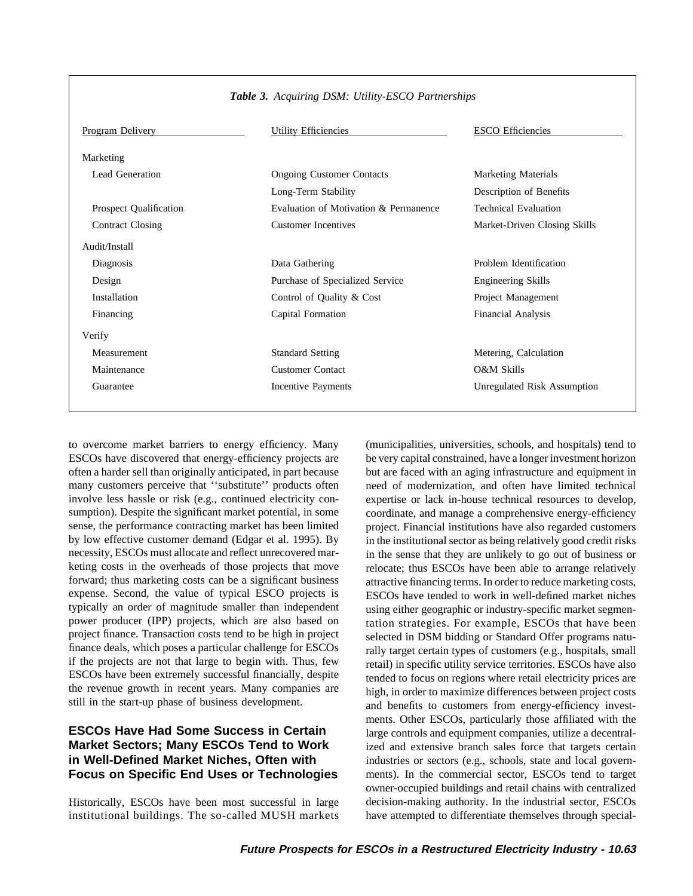| Program Delivery              | <b>Utility Efficiencies</b>           | <b>ESCO</b> Efficiencies     |
|-------------------------------|---------------------------------------|------------------------------|
| Marketing                     |                                       |                              |
| Lead Generation               | <b>Ongoing Customer Contacts</b>      | <b>Marketing Materials</b>   |
|                               | Long-Term Stability                   | Description of Benefits      |
| <b>Prospect Qualification</b> | Evaluation of Motivation & Permanence | <b>Technical Evaluation</b>  |
| <b>Contract Closing</b>       | <b>Customer Incentives</b>            | Market-Driven Closing Skills |
| Audit/Install                 |                                       |                              |
| Diagnosis                     | Data Gathering                        | Problem Identification       |
| Design                        | Purchase of Specialized Service       | <b>Engineering Skills</b>    |
| Installation                  | Control of Quality & Cost             | Project Management           |
| Financing                     | Capital Formation                     | <b>Financial Analysis</b>    |
| Verify                        |                                       |                              |
| Measurement                   | <b>Standard Setting</b>               | Metering, Calculation        |
| Maintenance                   | <b>Customer Contact</b>               | O&M Skills                   |
| Guarantee                     | Incentive Payments                    | Unregulated Risk Assumption  |

### *Table 3. Acquiring DSM: Utility-ESCO Partnerships*

to overcome market barriers to energy efficiency. Many (municipalities, universities, schools, and hospitals) tend to ESCOs have discovered that energy-efficiency projects are be very capital constrained, have a longer investment horizon often a harder sell than originally anticipated, in part because but are faced with an aging infrastructure and equipment in many customers perceive that ''substitute'' products often need of modernization, and often have limited technical involve less hassle or risk (e.g., continued electricity con- expertise or lack in-house technical resources to develop, sumption). Despite the significant market potential, in some coordinate, and manage a comprehensive energy-efficiency sense, the performance contracting market has been limited project. Financial institutions have also regarded customers by low effective customer demand (Edgar et al. 1995). By in the institutional sector as being relatively good credit risks necessity, ESCOs must allocate and reflect unrecovered mar- in the sense that they are unlikely to go out of business or keting costs in the overheads of those projects that move relocate; thus ESCOs have been able to arrange relatively forward; thus marketing costs can be a significant business attractive financing terms. In order to reduce marketing costs, expense. Second, the value of typical ESCO projects is ESCOs have tended to work in well-defined market niches typically an order of magnitude smaller than independent using either geographic or industry-specific market segmen-<br>power producer (IPP) projects, which are also based on tation strategies. For example ESCOs that have bee power producer (IPP) projects, which are also based on tation strategies. For example, ESCOs that have been project finance. Transaction costs tend to be high in project selected in DSM bidding or Standard Offer programs n finance deals, which poses a particular challenge for ESCOs rally target certain types of customers (e.g., hospitals, small<br>if the projects are not that large to begin with. Thus, few retail) in specific utility service te If the projects are not that large to begin with. Thus, few retail) in specific utility service territories. ESCOs have also<br>ESCOs have been extremely successful financially, despite reded to focus on regions where retail ESCOs have been extremely successful financially, despite tended to focus on regions where retail electricity prices are<br>the revenue growth in recent years. Many companies are high in order to maximize differences between

selected in DSM bidding or Standard Offer programs natuthe revenue growth in recent years. Many companies are high, in order to maximize differences between project costs still in the start-up phase of business development. ments. Other ESCOs, particularly those affiliated with the **ESCOs Have Had Some Success in Certain** large controls and equipment companies, utilize a decentral-Market Sectors; Many ESCOs Tend to Work ized and extensive branch sales force that targets certain **in Well-Defined Market Niches, Often with** industries or sectors (e.g., schools, state and local govern-**Focus on Specific End Uses or Technologies** ments). In the commercial sector, ESCOs tend to target owner-occupied buildings and retail chains with centralized Historically, ESCOs have been most successful in large decision-making authority. In the industrial sector, ESCOs institutional buildings. The so-called MUSH markets have attempted to differentiate themselves through special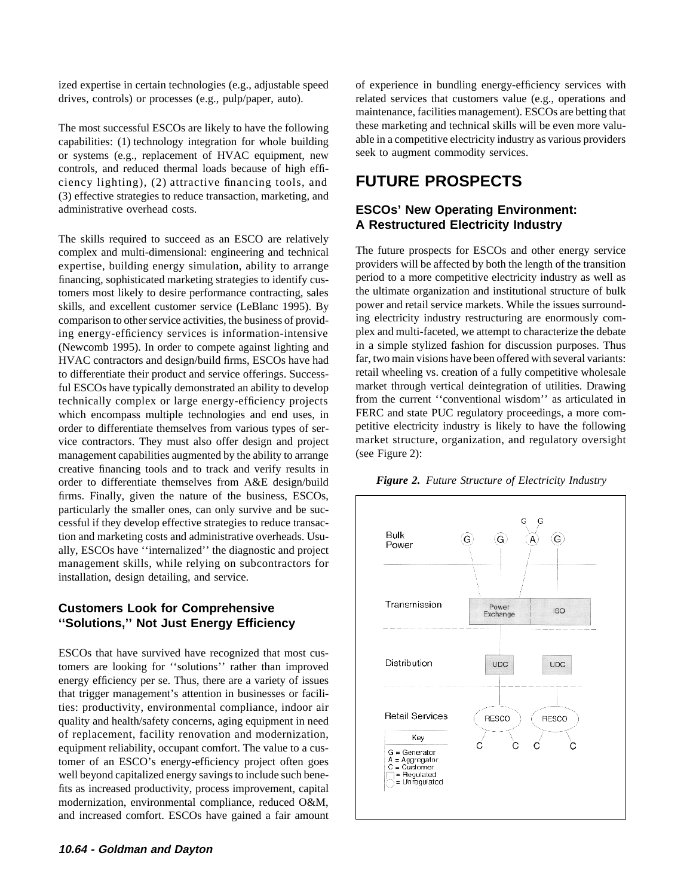ized expertise in certain technologies (e.g., adjustable speed of experience in bundling energy-efficiency services with drives, controls) or processes (e.g., pulp/paper, auto). related services that customers value (e.g., operations and

capabilities: (1) technology integration for whole building able in a competitive electricity industry or systems (e.g. replacement of HVAC equipment new seek to augment commodity services. or systems (e.g., replacement of HVAC equipment, new controls, and reduced thermal loads because of high efficiency lighting), (2) attractive financing tools, and **FUTURE PROSPECTS** (3) effective strategies to reduce transaction, marketing, and administrative overhead costs. **ESCOs' New Operating Environment:**

The skills required to succeed as an ESCO are relatively complex and multi-dimensional: engineering and technical The future prospects for ESCOs and other energy service tomers most likely to desire performance contracting, sales the ultimate organization and institutional structure of bulk<br>skills, and excellent customer service (LeBlanc 1995). By power and retail service markets. While th skills, and excellent customer service (LeBlanc 1995). By comparison to other service activities, the business of provid-<br>ing electricity industry restructuring are enormously com-<br>plex and multi-faceted, we attempt to characterize the debate (Newcomb 1995). In order to compete against lighting and in a simple stylized fashion for discussion purposes. Thus<br>HVAC contractors and design/build firms. ESCOs have had far, two main visions have been offered with sever to differentiate their product and service offerings. Successtechnically complex or large energy-efficiency projects which encompass multiple technologies and end uses, in FERC and state PUC regulatory proceedings, a more com-<br>order to differentiate themselves from various types of ser-<br>petitive electricity industry is likely to have the vice contractors. They must also offer design and project management capabilities augmented by the ability to arrange (see Figure 2): creative financing tools and to track and verify results in order to differentiate themselves from A&E design/build *Figure 2. Future Structure of Electricity Industry* firms. Finally, given the nature of the business, ESCOs, particularly the smaller ones, can only survive and be successful if they develop effective strategies to reduce transaction and marketing costs and administrative overheads. Usually, ESCOs have ''internalized'' the diagnostic and project management skills, while relying on subcontractors for installation, design detailing, and service.

### **Customers Look for Comprehensive ''Solutions,'' Not Just Energy Efficiency**

ESCOs that have survived have recognized that most customers are looking for ''solutions'' rather than improved energy efficiency per se. Thus, there are a variety of issues that trigger management's attention in businesses or facilities: productivity, environmental compliance, indoor air quality and health/safety concerns, aging equipment in need of replacement, facility renovation and modernization, equipment reliability, occupant comfort. The value to a customer of an ESCO's energy-efficiency project often goes well beyond capitalized energy savings to include such benefits as increased productivity, process improvement, capital modernization, environmental compliance, reduced O&M, and increased comfort. ESCOs have gained a fair amount

maintenance, facilities management). ESCOs are betting that The most successful ESCOs are likely to have the following these marketing and technical skills will be even more valu-<br>capabilities: (1) technology integration for whole building able in a competitive electricity industry

# **A Restructured Electricity Industry**

expertise, building energy simulation, ability to arrange providers will be affected by both the length of the transition financing, sophisticated marketing strategies to identify cus-<br>to a more competitive electricity industry as well as<br>to energy strategies to identify cus-<br>the ultimate organization and institutional structure of bulk ing energy-efficiency services is information-intensive plex and multi-faceted, we attempt to characterize the debate<br>(Newcomb 1995) In order to compete against lighting and in a simple stylized fashion for discussion purp HVAC contractors and design/build firms, ESCOs have had far, two main visions have been offered with several variants:<br>to differentiate their product and service offerings. Success-<br>retail wheeling vs. creation of a fully ful ESCOs have typically demonstrated an ability to develop market through vertical deintegration of utilities. Drawing<br>technically complex or large energy-efficiency projects from the current "conventional wisdom" as arti order to differentiate themselves from various types of ser-<br>vice experimentally industry is likely to have the following<br>vice contractors. They must also offer design and project<br>market structure, organization, and regula



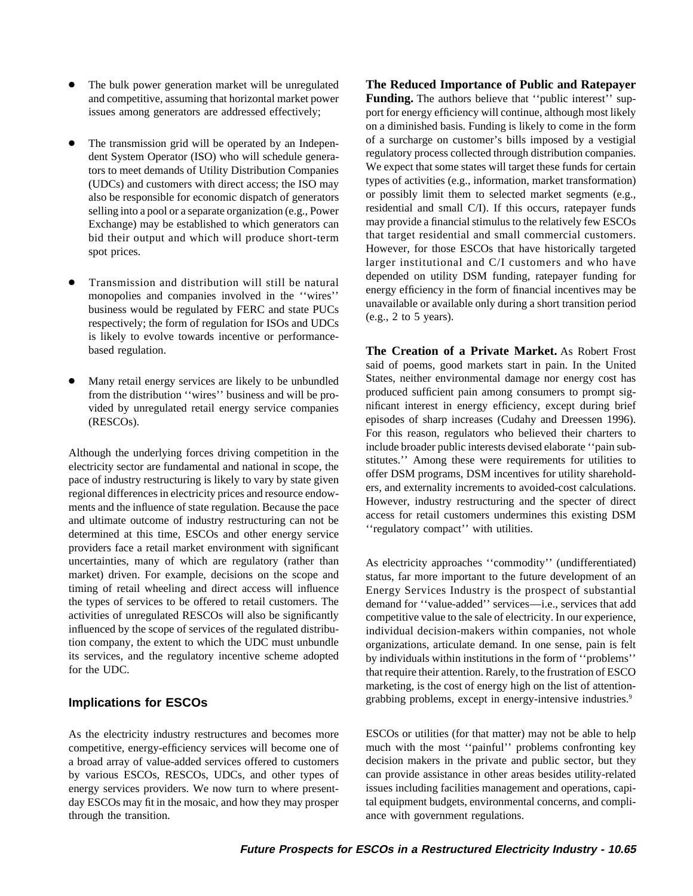- 
- selling into a pool or a separate organization (e.g., Power
- Transmission and distribution will still be natural depended on utility DSM funding, ratepayer funding for monopolies and companies involved in the "wires" energy efficiency in the form of financial incentives may be un is likely to evolve towards incentive or performance-
- vided by unregulated retail energy service companies

Although the underlying forces driving competition in the<br>
electricity sector are fundamental and national in scope, the<br>
pace of industry restructuring is likely to vary by state given<br>
regional differences in electricity providers face a retail market environment with significant uncertainties, many of which are regulatory (rather than As electricity approaches "commodity" (undifferentiated) market) driven. For example, decisions on the scope and status, far more important to the future development of an timing of retail wheeling and direct access will influence Energy Services Industry is the prospect of substantial the types of services to be offered to retail customers. The demand for "value-added" services—i.e., services that add activities of unregulated RESCOs will also be significantly competitive value to the sale of electricity. In our experience, influenced by the scope of services of the regulated distribu-<br>individual decision-makers within tion company, the extent to which the UDC must unbundle organizations, articulate demand. In one sense, pain is felt<br>its services, and the regulatory incentive scheme adopted by individuals within institutions in the form its services, and the regulatory incentive scheme adopted by individuals within institutions in the form of "problems"<br>for the UDC.

### **Implications for ESCOs**

As the electricity industry restructures and becomes more ESCOs or utilities (for that matter) may not be able to help competitive, energy-efficiency services will become one of much with the most ''painful'' problems confronting key a broad array of value-added services offered to customers decision makers in the private and public sector, but they by various ESCOs, RESCOs, UDCs, and other types of can provide assistance in other areas besides utility-related energy services providers. We now turn to where present- issues including facilities management and operations, capiday ESCOs may fit in the mosaic, and how they may prosper tal equipment budgets, environmental concerns, and complithrough the transition. The transition ance with government regulations.

The bulk power generation market will be unregulated **The Reduced Importance of Public and Ratepayer** and competitive, assuming that horizontal market power **Funding.** The authors believe that "public interest" supissues among generators are addressed effectively; port for energy efficiency will continue, although most likely on a diminished basis. Funding is likely to come in the form The transmission grid will be operated by an Indepen-<br>dent System Operator (ISO) who will schedule genera-<br>regulatory process collected through distribution companies. tors to meet demands of Utility Distribution Companies We expect that some states will target these funds for certain  $(UDCs)$  and customers with direct access; the ISO may types of activities (e.g., information, market transformation) (also be responsible for economic dispatch of generators or possibly limit them to selected market segmen also be responsible for economic dispatch of generators or possibly limit them to selected market segments (e.g.,  $\frac{1}{100}$  residential and small C/I). If this occurs, ratepayer funds Exchange) may be established to which generators can may provide a financial stimulus to the relatively few ESCOs bid their output and which will produce short-term that target residential and small commercial customers. spot prices. **However, for those ESCOs that have historically targeted** larger institutional and C/I customers and who have

based regulation. **The Creation of a Private Market.** As Robert Frost said of poems, good markets start in pain. In the United Many retail energy services are likely to be unbundled States, neither environmental damage nor energy cost has from the distribution "wires" business and will be pro-<br>vided by unregulated retail energy service companies in the unificant interest in energy efficiency, except during brief episodes of sharp increases (Cudahy and Dreessen 1996). (RESCOs). For this reason, regulators who believed their charters to

> individual decision-makers within companies, not whole that require their attention. Rarely, to the frustration of ESCO marketing, is the cost of energy high on the list of attentiongrabbing problems, except in energy-intensive industries.<sup>9</sup>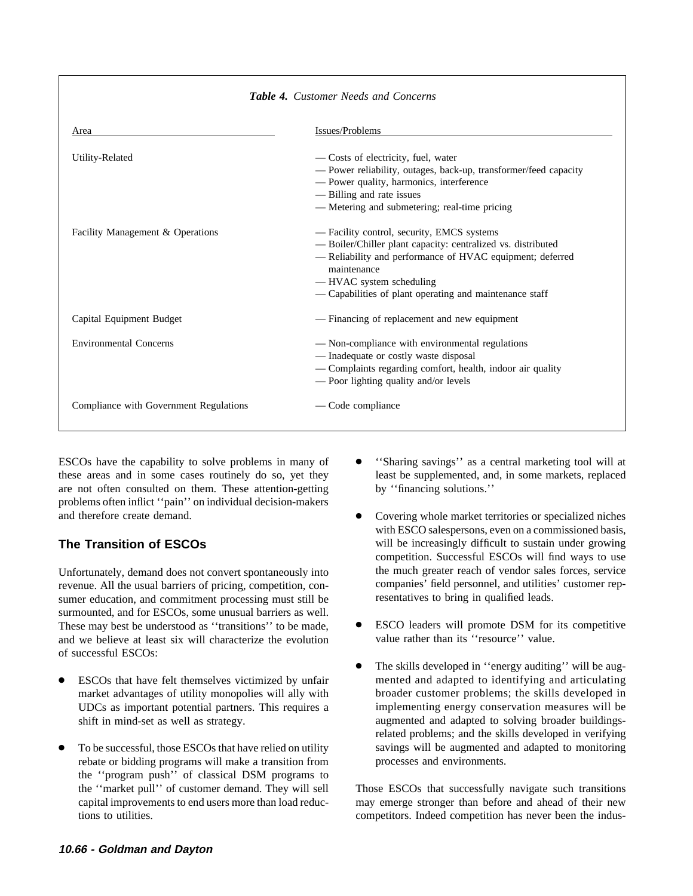| <b>Table 4.</b> Customer Needs and Concerns |                                                                                                                                                                                                                                                                              |  |  |  |
|---------------------------------------------|------------------------------------------------------------------------------------------------------------------------------------------------------------------------------------------------------------------------------------------------------------------------------|--|--|--|
| Area                                        | Issues/Problems                                                                                                                                                                                                                                                              |  |  |  |
| Utility-Related                             | — Costs of electricity, fuel, water<br>- Power reliability, outages, back-up, transformer/feed capacity<br>- Power quality, harmonics, interference<br>- Billing and rate issues<br>- Metering and submetering; real-time pricing                                            |  |  |  |
| Facility Management & Operations            | — Facility control, security, EMCS systems<br>- Boiler/Chiller plant capacity: centralized vs. distributed<br>- Reliability and performance of HVAC equipment; deferred<br>maintenance<br>-HVAC system scheduling<br>- Capabilities of plant operating and maintenance staff |  |  |  |
| Capital Equipment Budget                    | - Financing of replacement and new equipment                                                                                                                                                                                                                                 |  |  |  |
| <b>Environmental Concerns</b>               | — Non-compliance with environmental regulations<br>- Inadequate or costly waste disposal<br>- Complaints regarding comfort, health, indoor air quality<br>- Poor lighting quality and/or levels                                                                              |  |  |  |
| Compliance with Government Regulations      | — Code compliance                                                                                                                                                                                                                                                            |  |  |  |

ESCOs have the capability to solve problems in many of  $\bullet$  "Sharing savings" as a central marketing tool will at these areas and in some cases routinely do so, yet they least be supplemented, and, in some markets, replaced are not often consulted on them. These attention-getting by ''financing solutions.'' problems often inflict ''pain'' on individual decision-makers

revenue. All the usual barriers of pricing, competition, con-<br>sumer education, and commitment processing must still be<br>resentatives to bring in qualified leads. sumer education, and commitment processing must still be surmounted, and for ESCOs, some unusual barriers as well. These may best be understood as "transitions" to be made, <br>and we helieve at least six will characterize the evolution value rather than its "resource" value. and we believe at least six will characterize the evolution of successful ESCOs:

- UDCs as important potential partners. This requires a
- rebate or bidding programs will make a transition from processes and environments. the ''program push'' of classical DSM programs to the ''market pull'' of customer demand. They will sell Those ESCOs that successfully navigate such transitions
- 
- and therefore create demand. <br>
 Covering whole market territories or specialized niches with ESCO salespersons, even on a commissioned basis, **The Transition of ESCOs** will be increasingly difficult to sustain under growing competition. Successful ESCOs will find ways to use Unfortunately, demand does not convert spontaneously into the much greater reach of vendor sales forces, service revenue. All the usual barriers of pricing, competition, con-<br>companies' field personnel, and utilities' cust
	-
	- The skills developed in "energy auditing" will be aug-ESCOs that have felt themselves victimized by unfair mented and adapted to identifying and articulating market advantages of utility monopolies will ally with broader customer problems; the skills developed in market advantages of utility monopolies will ally with broader customer problems; the skills developed in UDCs as important potential partners. This requires a implementing energy conservation measures will be shift in mind-set as well as strategy. The augmented and adapted to solving broader buildingsrelated problems; and the skills developed in verifying To be successful, those ESCOs that have relied on utility savings will be augmented and adapted to monitoring

capital improvements to end users more than load reduc- may emerge stronger than before and ahead of their new tions to utilities. Competitions of the indus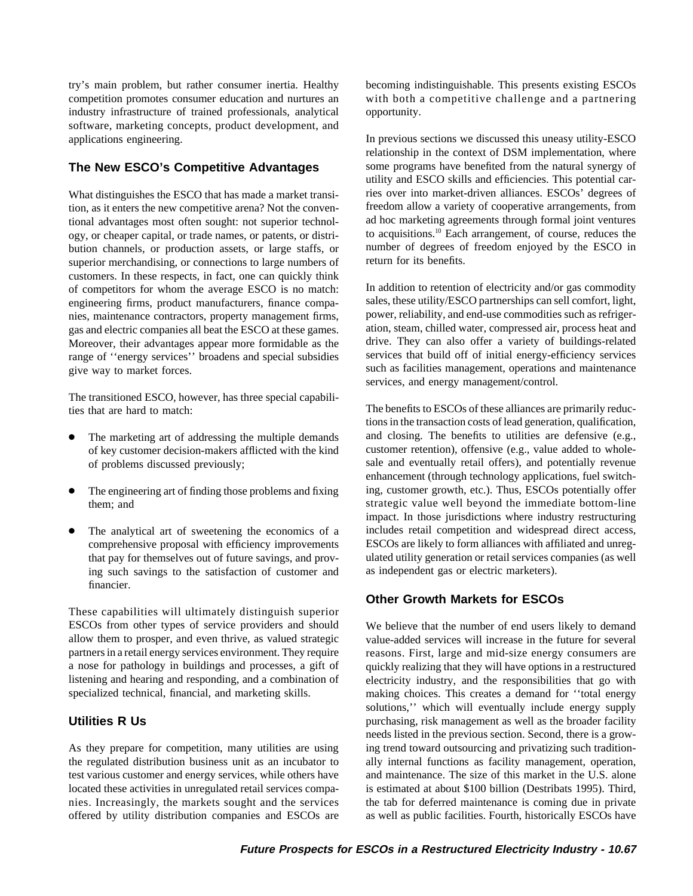industry infrastructure of trained professionals, analytical opportunity. software, marketing concepts, product development, and applications engineering. In previous sections we discussed this uneasy utility-ESCO

tion, as it enters the new competitive arena? Not the conven- freedom allow a variety of cooperative arrangements, from tional advantages most often sought: not superior technol-<br>ogy, or cheaper capital, or trade names, or patents, or distri-<br>to acquisitions.<sup>10</sup> Each arrangement, of course, reduces the ogy, or cheaper capital, or trade names, or patents, or distribution channels, or production assets, or large staffs, or number of degrees of freedom enjoyed by the ESCO in superior merchandising or connections to large numbers of return for its benefits. superior merchandising, or connections to large numbers of customers. In these respects, in fact, one can quickly think of competitors for whom the average ESCO is no match: In addition to retention of electricity and/or gas commodity<br>engineering firms product manufacturers finance compa-<br>sales, these utility/ESCO partnerships can sell comf engineering firms, product manufacturers, finance compa-<br>nies, maintenance contractors, property management firms, power, reliability, and end-use commodities such as refrigernies, maintenance contractors, property management firms, power, reliability, and end-use commodities such as refriger-<br>gas and electric companies all beat the ESCO at these games ation, steam, chilled water, compressed ai gas and electric companies all beat the ESCO at these games. Moreover, their advantages appear more formidable as the drive. They can also offer a variety of buildings-related range of "energy services" broadens and special subsidies services that build off of initial energy-efficie range of "energy services" broadens and special subsidies give way to market forces. Such as facilities management, operations and maintenance

The transitioned ESCO, however, has three special capabili-The benefits to ESCOs of these alliances are primarily reduc-

- 
- 
- ing such savings to the satisfaction of customer and as independent gas or electric marketers). financier.

These capabilities will ultimately distinguish superior ESCOs from other types of service providers and should We believe that the number of end users likely to demand allow them to prosper, and even thrive, as valued strategic value-added services will increase in the future for several partners in a retail energy services environment. They require reasons. First, large and mid-size energy consumers are a nose for pathology in buildings and processes, a gift of quickly realizing that they will have options in a restructured listening and hearing and responding, and a combination of electricity industry, and the responsibilities that go with specialized technical, financial, and marketing skills. making choices. This creates a demand for 'total energy

As they prepare for competition, many utilities are using ing trend toward outsourcing and privatizing such traditionthe regulated distribution business unit as an incubator to ally internal functions as facility management, operation, test various customer and energy services, while others have and maintenance. The size of this market in the U.S. alone located these activities in unregulated retail services compa- is estimated at about \$100 billion (Destribats 1995). Third, nies. Increasingly, the markets sought and the services the tab for deferred maintenance is coming due in private offered by utility distribution companies and ESCOs are as well as public facilities. Fourth, historically ESCOs have

try's main problem, but rather consumer inertia. Healthy becoming indistinguishable. This presents existing ESCOs competition promotes consumer education and nurtures an with both a competitive challenge and a partnering

relationship in the context of DSM implementation, where **The New ESCO's Competitive Advantages** some programs have benefited from the natural synergy of utility and ESCO skills and efficiencies. This potential car-What distinguishes the ESCO that has made a market transi-<br>ries over into market-driven alliances. ESCOs' degrees of

services, and energy management/control.

tions in the transaction costs of lead generation, qualification, The marketing art of addressing the multiple demands and closing. The benefits to utilities are defensive (e.g., of key customer decision-makers afflicted with the kind customer retention), offensive (e.g., value added to wholeof problems discussed previously; sale and eventually retail offers), and potentially revenue enhancement (through technology applications, fuel switch- The engineering art of finding those problems and fixing ing, customer growth, etc.). Thus, ESCOs potentially offer them; and strategic value well beyond the immediate bottom-line impact. In those jurisdictions where industry restructuring The analytical art of sweetening the economics of a includes retail competition and widespread direct access, comprehensive proposal with efficiency improvements ESCOs are likely to form alliances with affiliated and unregthat pay for themselves out of future savings, and prov- ulated utility generation or retail services companies (as well

### **Other Growth Markets for ESCOs**

solutions,'' which will eventually include energy supply **Utilities R Us** purchasing, risk management as well as the broader facility needs listed in the previous section. Second, there is a grow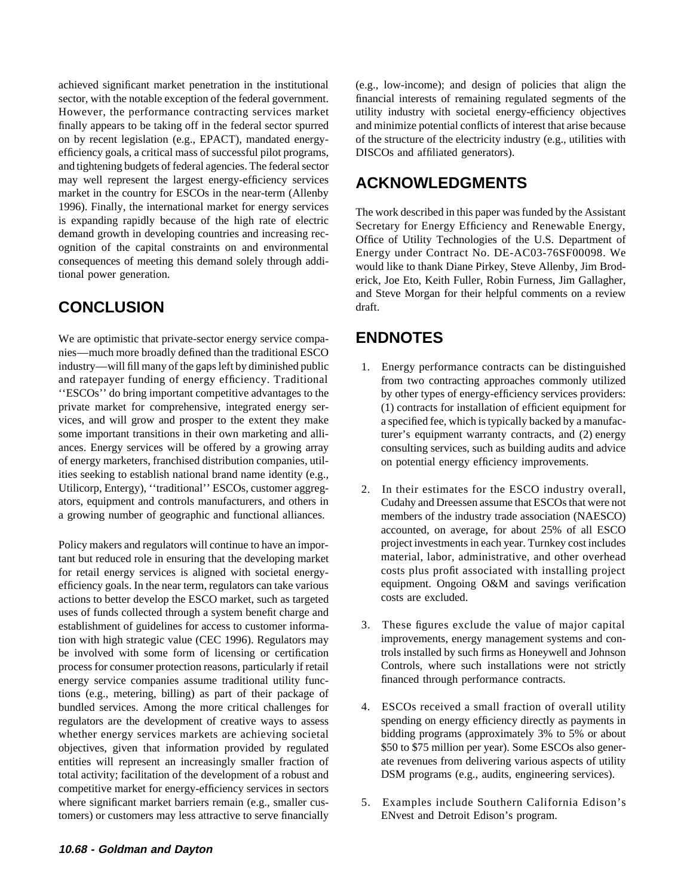achieved significant market penetration in the institutional (e.g., low-income); and design of policies that align the sector, with the notable exception of the federal government. financial interests of remaining regulated segments of the finally appears to be taking off in the federal sector spurred and minimize potential conflicts of interest that arise because on by recent legislation (e.g., EPACT), mandated energy- of the structure of the electricity industry (e.g., utilities with efficiency goals, a critical mass of successful pilot programs, DISCOs and affiliated generators). and tightening budgets of federal agencies. The federal sector may well represent the largest energy-efficiency services **ACKNOWLEDGMENTS** market in the country for ESCOs in the near-term (Allenby

# **CONCLUSION** draft.

We are optimistic that private-sector energy service compa- **ENDNOTES** nies—much more broadly defined than the traditional ESCO industry—will fill many of the gaps left by diminished public 1. Energy performance contracts can be distinguished and ratepayer funding of energy efficiency. Traditional from two contracting approaches commonly utilized ''ESCOs'' do bring important competitive advantages to the by other types of energy-efficiency services providers: private market for comprehensive, integrated energy ser- (1) contracts for installation of efficient equipment for vices, and will grow and prosper to the extent they make a specified fee, which is typically backed by a manufacsome important transitions in their own marketing and alli-<br>turer's equipment warranty contracts, and (2) energy ances. Energy services will be offered by a growing array consulting services, such as building audits and advice of energy marketers, franchised distribution companies, util- on potential energy efficiency improvements. ities seeking to establish national brand name identity (e.g., Utilicorp, Entergy), "traditional" ESCOs, customer aggreg- 2. In their estimates for the ESCO industry overall, ators, equipment and controls manufacturers, and others in Cudahy and Dreessen assume that ESCOs that were not

tant but reduced role in ensuring that the developing market material, labor, administrative, and other overhead for retail energy services is aligned with societal energy-<br>
efficiency goals. In the near term, regulators can take various equipment. Ongoing O&M and savings verification efficiency goals. In the near term, regulators can take various equipment. Ongoin actions to better develop the ESCO market such as targeted costs are excluded. actions to better develop the ESCO market, such as targeted. uses of funds collected through a system benefit charge and establishment of guidelines for access to customer informa- 3. These figures exclude the value of major capital tion with high strategic value (CEC 1996). Regulators may improvements, energy management systems and con-<br>be involved with some form of licensing or certification trols installed by such firms as Honeywell and Johnson be involved with some form of licensing or certification process for consumer protection reasons, particularly if retail Controls, where such installations were not strictly energy service companies assume traditional utility func-<br>financed through performance contracts. energy service companies assume traditional utility functions (e.g., metering, billing) as part of their package of bundled services. Among the more critical challenges for 4. ESCOs received a small fraction of overall utility regulators are the development of creative ways to assess spending on energy efficiency directly as payments in whether energy services markets are achieving societal bidding programs (approximately 3% to 5% or about objectives, given that information provided by regulated \$50 to \$75 million per year). Some ESCOs also generentities will represent an increasingly smaller fraction of ate revenues from delivering various aspects of utility total activity; facilitation of the development of a robust and DSM programs (e.g., audits, engineering services). competitive market for energy-efficiency services in sectors where significant market barriers remain (e.g., smaller cus- 5. Examples include Southern California Edison's tomers) or customers may less attractive to serve financially ENvest and Detroit Edison's program.

However, the performance contracting services market utility industry with societal energy-efficiency objectives

1996). Finally, the international market for energy services<br>is expanding rapidly because of the high rate of electric<br>demand growth in developing countries and increasing rec-<br>ognition of the capital constraints on and en and Steve Morgan for their helpful comments on a review

- 
- a growing number of geographic and functional alliances. members of the industry trade association (NAESCO) accounted, on average, for about 25% of all ESCO Policy makers and regulators will continue to have an impor-<br>
project investments in each year. Turnkey cost includes
	-
	-
	-